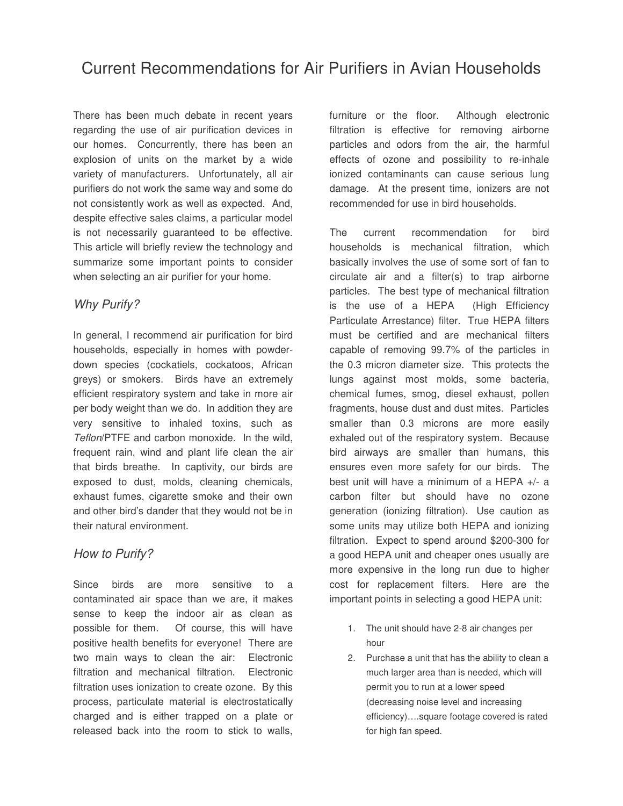There has been much debate in recent years regarding the use of air purification devices in our homes. Concurrently, there has been an explosion of units on the market by a wide variety of manufacturers. Unfortunately, all air purifiers do not work the same way and some do not consistently work as well as expected. And, despite effective sales claims, a particular model is not necessarily guaranteed to be effective. This article will briefly review the technology and summarize some important points to consider when selecting an air purifier for your home.

## Why Purify?

In general, I recommend air purification for bird households, especially in homes with powderdown species (cockatiels, cockatoos, African greys) or smokers. Birds have an extremely efficient respiratory system and take in more air per body weight than we do. In addition they are very sensitive to inhaled toxins, such as Teflon/PTFE and carbon monoxide. In the wild, frequent rain, wind and plant life clean the air that birds breathe. In captivity, our birds are exposed to dust, molds, cleaning chemicals, exhaust fumes, cigarette smoke and their own and other bird's dander that they would not be in their natural environment.

## How to Purify?

Since birds are more sensitive to a contaminated air space than we are, it makes sense to keep the indoor air as clean as possible for them. Of course, this will have positive health benefits for everyone! There are two main ways to clean the air: Electronic filtration and mechanical filtration. Electronic filtration uses ionization to create ozone. By this process, particulate material is electrostatically charged and is either trapped on a plate or released back into the room to stick to walls,

furniture or the floor. Although electronic filtration is effective for removing airborne particles and odors from the air, the harmful effects of ozone and possibility to re-inhale ionized contaminants can cause serious lung damage. At the present time, ionizers are not recommended for use in bird households.

The current recommendation for bird households is mechanical filtration, which basically involves the use of some sort of fan to circulate air and a filter(s) to trap airborne particles. The best type of mechanical filtration is the use of a HEPA (High Efficiency Particulate Arrestance) filter. True HEPA filters must be certified and are mechanical filters capable of removing 99.7% of the particles in the 0.3 micron diameter size. This protects the lungs against most molds, some bacteria, chemical fumes, smog, diesel exhaust, pollen fragments, house dust and dust mites. Particles smaller than 0.3 microns are more easily exhaled out of the respiratory system. Because bird airways are smaller than humans, this ensures even more safety for our birds. The best unit will have a minimum of a HEPA +/- a carbon filter but should have no ozone generation (ionizing filtration). Use caution as some units may utilize both HEPA and ionizing filtration. Expect to spend around \$200-300 for a good HEPA unit and cheaper ones usually are more expensive in the long run due to higher cost for replacement filters. Here are the important points in selecting a good HEPA unit:

- 1. The unit should have 2-8 air changes per hour
- 2. Purchase a unit that has the ability to clean a much larger area than is needed, which will permit you to run at a lower speed (decreasing noise level and increasing efficiency)….square footage covered is rated for high fan speed.